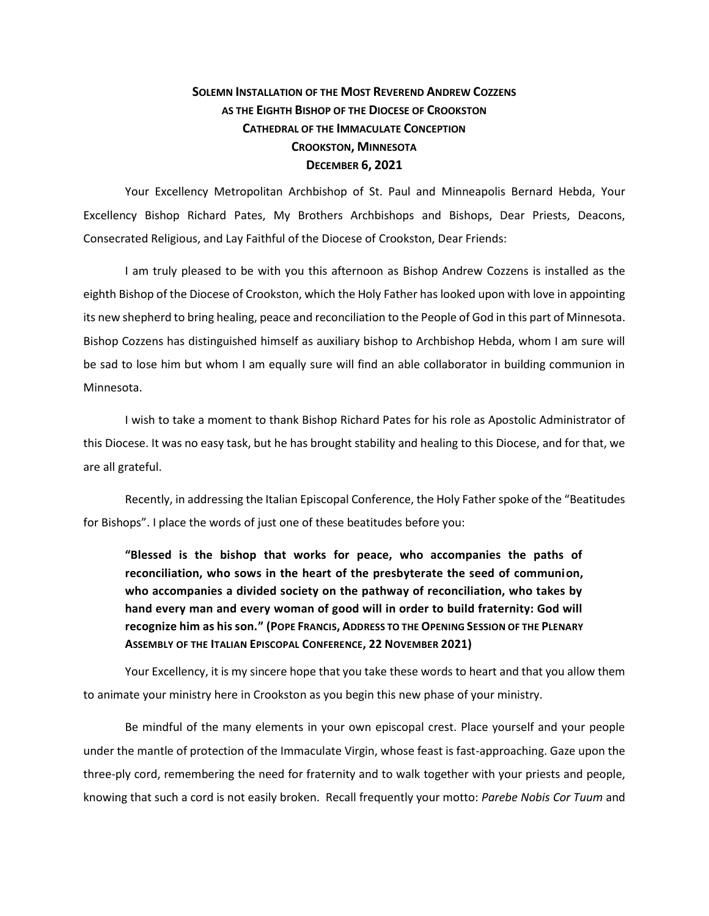## **SOLEMN INSTALLATION OF THE MOST REVEREND ANDREW COZZENS AS THE EIGHTH BISHOP OF THE DIOCESE OF CROOKSTON CATHEDRAL OF THE IMMACULATE CONCEPTION CROOKSTON, MINNESOTA DECEMBER 6, 2021**

Your Excellency Metropolitan Archbishop of St. Paul and Minneapolis Bernard Hebda, Your Excellency Bishop Richard Pates, My Brothers Archbishops and Bishops, Dear Priests, Deacons, Consecrated Religious, and Lay Faithful of the Diocese of Crookston, Dear Friends:

I am truly pleased to be with you this afternoon as Bishop Andrew Cozzens is installed as the eighth Bishop of the Diocese of Crookston, which the Holy Father has looked upon with love in appointing its new shepherd to bring healing, peace and reconciliation to the People of God in this part of Minnesota. Bishop Cozzens has distinguished himself as auxiliary bishop to Archbishop Hebda, whom I am sure will be sad to lose him but whom I am equally sure will find an able collaborator in building communion in Minnesota.

I wish to take a moment to thank Bishop Richard Pates for his role as Apostolic Administrator of this Diocese. It was no easy task, but he has brought stability and healing to this Diocese, and for that, we are all grateful.

Recently, in addressing the Italian Episcopal Conference, the Holy Father spoke of the "Beatitudes for Bishops". I place the words of just one of these beatitudes before you:

**"Blessed is the bishop that works for peace, who accompanies the paths of reconciliation, who sows in the heart of the presbyterate the seed of communion, who accompanies a divided society on the pathway of reconciliation, who takes by hand every man and every woman of good will in order to build fraternity: God will recognize him as his son." (POPE FRANCIS, ADDRESS TO THE OPENING SESSION OF THE PLENARY ASSEMBLY OF THE ITALIAN EPISCOPAL CONFERENCE, 22 NOVEMBER 2021)**

Your Excellency, it is my sincere hope that you take these words to heart and that you allow them to animate your ministry here in Crookston as you begin this new phase of your ministry.

Be mindful of the many elements in your own episcopal crest. Place yourself and your people under the mantle of protection of the Immaculate Virgin, whose feast is fast-approaching. Gaze upon the three-ply cord, remembering the need for fraternity and to walk together with your priests and people, knowing that such a cord is not easily broken. Recall frequently your motto: *Parebe Nobis Cor Tuum* and